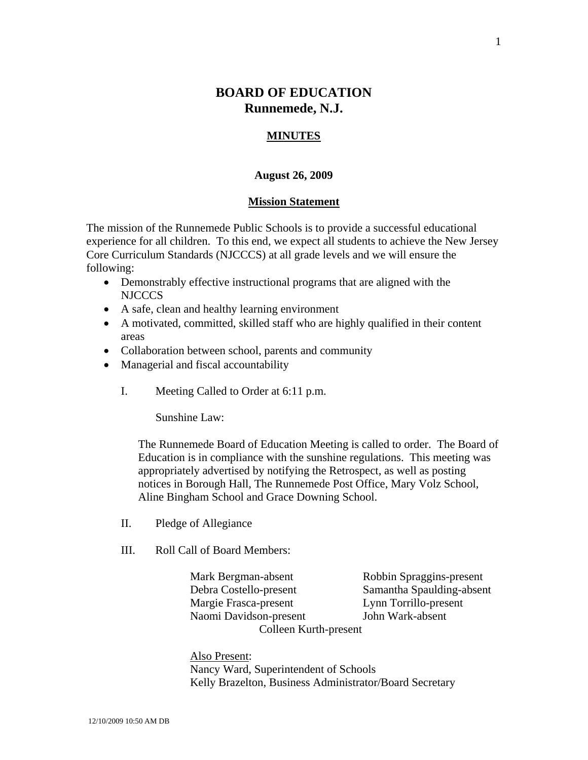# **BOARD OF EDUCATION Runnemede, N.J.**

### **MINUTES**

### **August 26, 2009**

#### **Mission Statement**

The mission of the Runnemede Public Schools is to provide a successful educational experience for all children. To this end, we expect all students to achieve the New Jersey Core Curriculum Standards (NJCCCS) at all grade levels and we will ensure the following:

- Demonstrably effective instructional programs that are aligned with the NJCCCS
- A safe, clean and healthy learning environment
- A motivated, committed, skilled staff who are highly qualified in their content areas
- Collaboration between school, parents and community
- Managerial and fiscal accountability
	- I. Meeting Called to Order at 6:11 p.m.

Sunshine Law:

The Runnemede Board of Education Meeting is called to order. The Board of Education is in compliance with the sunshine regulations. This meeting was appropriately advertised by notifying the Retrospect, as well as posting notices in Borough Hall, The Runnemede Post Office, Mary Volz School, Aline Bingham School and Grace Downing School.

- II. Pledge of Allegiance
- III. Roll Call of Board Members:

 Mark Bergman-absent Robbin Spraggins-present Debra Costello-present Samantha Spaulding-absent Margie Frasca-present Lynn Torrillo-present Naomi Davidson-present John Wark-absent Colleen Kurth-present

 Also Present: Nancy Ward, Superintendent of Schools Kelly Brazelton, Business Administrator/Board Secretary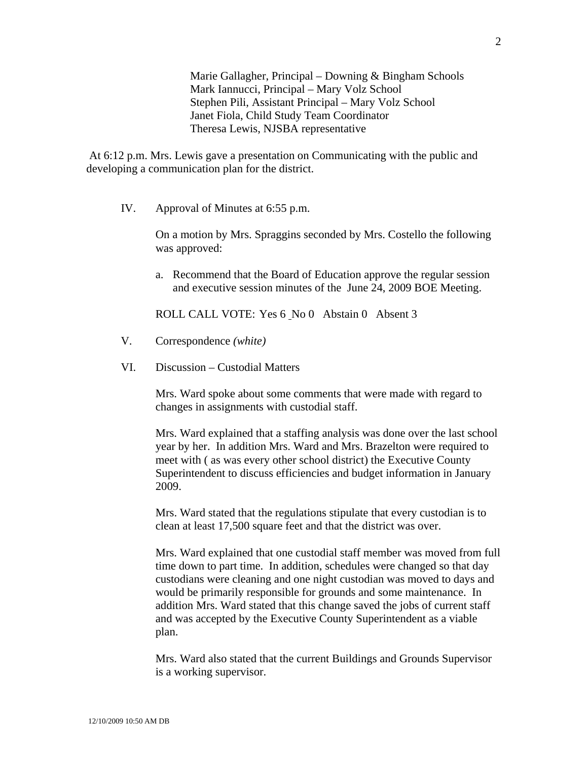Marie Gallagher, Principal – Downing & Bingham Schools Mark Iannucci, Principal – Mary Volz School Stephen Pili, Assistant Principal – Mary Volz School Janet Fiola, Child Study Team Coordinator Theresa Lewis, NJSBA representative

 At 6:12 p.m. Mrs. Lewis gave a presentation on Communicating with the public and developing a communication plan for the district.

IV. Approval of Minutes at 6:55 p.m.

On a motion by Mrs. Spraggins seconded by Mrs. Costello the following was approved:

a. Recommend that the Board of Education approve the regular session and executive session minutes of the June 24, 2009 BOE Meeting.

ROLL CALL VOTE: Yes 6 No 0 Abstain 0 Absent 3

- V. Correspondence *(white)*
- VI. Discussion Custodial Matters

Mrs. Ward spoke about some comments that were made with regard to changes in assignments with custodial staff.

Mrs. Ward explained that a staffing analysis was done over the last school year by her. In addition Mrs. Ward and Mrs. Brazelton were required to meet with ( as was every other school district) the Executive County Superintendent to discuss efficiencies and budget information in January 2009.

Mrs. Ward stated that the regulations stipulate that every custodian is to clean at least 17,500 square feet and that the district was over.

Mrs. Ward explained that one custodial staff member was moved from full time down to part time. In addition, schedules were changed so that day custodians were cleaning and one night custodian was moved to days and would be primarily responsible for grounds and some maintenance. In addition Mrs. Ward stated that this change saved the jobs of current staff and was accepted by the Executive County Superintendent as a viable plan.

Mrs. Ward also stated that the current Buildings and Grounds Supervisor is a working supervisor.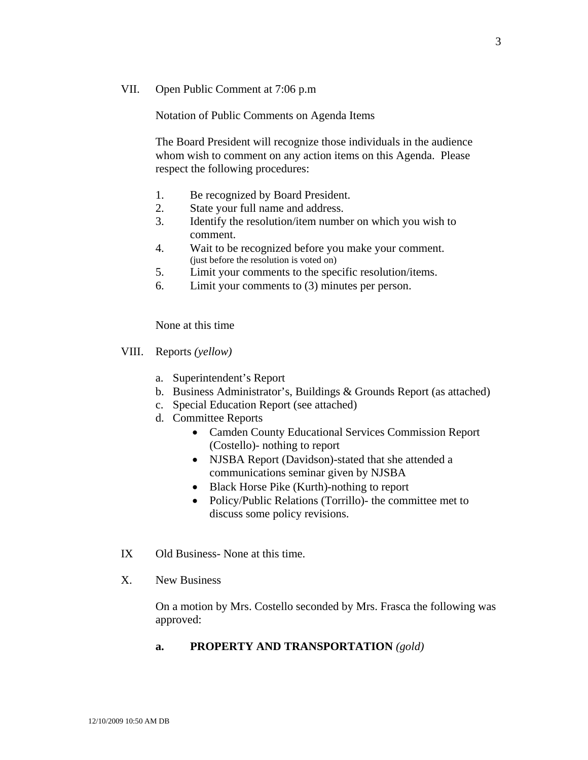### VII. Open Public Comment at 7:06 p.m

Notation of Public Comments on Agenda Items

The Board President will recognize those individuals in the audience whom wish to comment on any action items on this Agenda. Please respect the following procedures:

- 1. Be recognized by Board President.
- 2. State your full name and address.
- 3. Identify the resolution/item number on which you wish to comment.
- 4. Wait to be recognized before you make your comment. (just before the resolution is voted on)
- 5. Limit your comments to the specific resolution/items.
- 6. Limit your comments to (3) minutes per person.

None at this time

VIII. Reports *(yellow)* 

- a. Superintendent's Report
- b. Business Administrator's, Buildings & Grounds Report (as attached)
- c. Special Education Report (see attached)
- d. Committee Reports
	- Camden County Educational Services Commission Report (Costello)- nothing to report
	- NJSBA Report (Davidson)-stated that she attended a communications seminar given by NJSBA
	- Black Horse Pike (Kurth)-nothing to report
	- Policy/Public Relations (Torrillo)- the committee met to discuss some policy revisions.
- IX Old Business- None at this time.
- X. New Business

On a motion by Mrs. Costello seconded by Mrs. Frasca the following was approved:

### **a. PROPERTY AND TRANSPORTATION** *(gold)*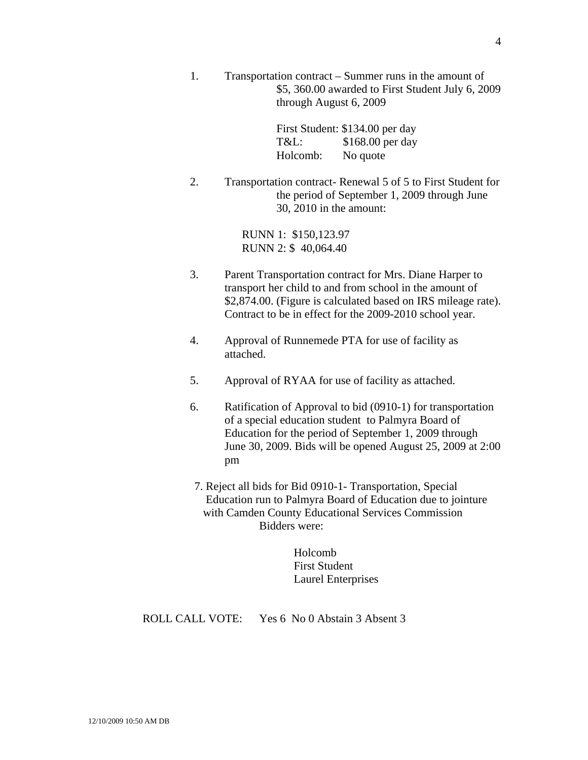1. Transportation contract – Summer runs in the amount of \$5, 360.00 awarded to First Student July 6, 2009 through August 6, 2009

> First Student: \$134.00 per day T&L: \$168.00 per day Holcomb: No quote

2. Transportation contract- Renewal 5 of 5 to First Student for the period of September 1, 2009 through June 30, 2010 in the amount:

> RUNN 1: \$150,123.97 RUNN 2: \$ 40,064.40

- 3. Parent Transportation contract for Mrs. Diane Harper to transport her child to and from school in the amount of \$2,874.00. (Figure is calculated based on IRS mileage rate). Contract to be in effect for the 2009-2010 school year.
- 4. Approval of Runnemede PTA for use of facility as attached.
- 5. Approval of RYAA for use of facility as attached.
- 6. Ratification of Approval to bid (0910-1) for transportation of a special education student to Palmyra Board of Education for the period of September 1, 2009 through June 30, 2009. Bids will be opened August 25, 2009 at 2:00 pm
- 7. Reject all bids for Bid 0910-1- Transportation, Special Education run to Palmyra Board of Education due to jointure with Camden County Educational Services Commission Bidders were:

 Holcomb First Student Laurel Enterprises

ROLL CALL VOTE: Yes 6 No 0 Abstain 3 Absent 3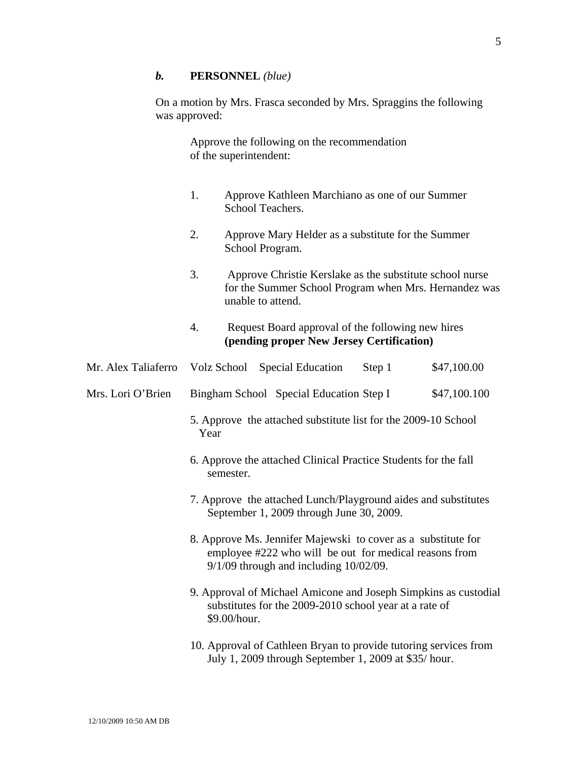### *b.* **PERSONNEL** *(blue)*

On a motion by Mrs. Frasca seconded by Mrs. Spraggins the following was approved:

> Approve the following on the recommendation of the superintendent:

- 1. Approve Kathleen Marchiano as one of our Summer School Teachers.
- 2. Approve Mary Helder as a substitute for the Summer School Program.
- 3. Approve Christie Kerslake as the substitute school nurse for the Summer School Program when Mrs. Hernandez was unable to attend.

## 4. Request Board approval of the following new hires **(pending proper New Jersey Certification)**

|                   |                                                                                                                                                                        | Mr. Alex Taliaferro Volz School Special Education                                                                         | Step 1 | \$47,100.00  |  |
|-------------------|------------------------------------------------------------------------------------------------------------------------------------------------------------------------|---------------------------------------------------------------------------------------------------------------------------|--------|--------------|--|
| Mrs. Lori O'Brien |                                                                                                                                                                        | Bingham School Special Education Step I                                                                                   |        | \$47,100.100 |  |
|                   | 5. Approve the attached substitute list for the 2009-10 School<br>Year                                                                                                 |                                                                                                                           |        |              |  |
|                   | 6. Approve the attached Clinical Practice Students for the fall<br>semester.                                                                                           |                                                                                                                           |        |              |  |
|                   | 7. Approve the attached Lunch/Playground aides and substitutes<br>September 1, 2009 through June 30, 2009.                                                             |                                                                                                                           |        |              |  |
|                   | 8. Approve Ms. Jennifer Majewski to cover as a substitute for<br>employee #222 who will be out for medical reasons from<br>$9/1/09$ through and including $10/02/09$ . |                                                                                                                           |        |              |  |
|                   | 9. Approval of Michael Amicone and Joseph Simpkins as custodial<br>substitutes for the 2009-2010 school year at a rate of<br>\$9.00/hour.                              |                                                                                                                           |        |              |  |
|                   |                                                                                                                                                                        | 10. Approval of Cathleen Bryan to provide tutoring services from<br>July 1, 2009 through September 1, 2009 at \$35/ hour. |        |              |  |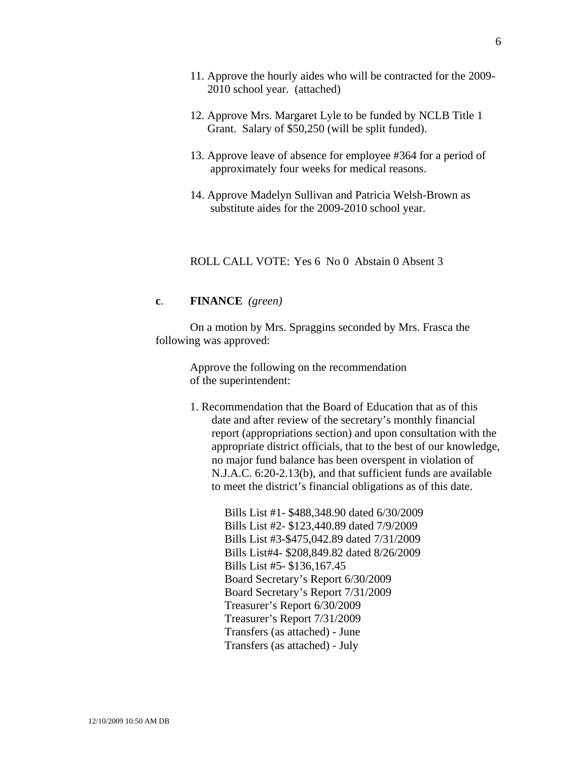- 12. Approve Mrs. Margaret Lyle to be funded by NCLB Title 1 Grant. Salary of \$50,250 (will be split funded).
- 13. Approve leave of absence for employee #364 for a period of approximately four weeks for medical reasons.
- 14. Approve Madelyn Sullivan and Patricia Welsh-Brown as substitute aides for the 2009-2010 school year.

ROLL CALL VOTE: Yes 6 No 0 Abstain 0 Absent 3

### **c**. **FINANCE** *(green)*

On a motion by Mrs. Spraggins seconded by Mrs. Frasca the following was approved:

> Approve the following on the recommendation of the superintendent:

1. Recommendation that the Board of Education that as of this date and after review of the secretary's monthly financial report (appropriations section) and upon consultation with the appropriate district officials, that to the best of our knowledge, no major fund balance has been overspent in violation of N.J.A.C. 6:20-2.13(b), and that sufficient funds are available to meet the district's financial obligations as of this date.

> Bills List #1- \$488,348.90 dated 6/30/2009 Bills List #2- \$123,440.89 dated 7/9/2009 Bills List #3-\$475,042.89 dated 7/31/2009 Bills List#4- \$208,849.82 dated 8/26/2009 Bills List #5- \$136,167.45 Board Secretary's Report 6/30/2009 Board Secretary's Report 7/31/2009 Treasurer's Report 6/30/2009 Treasurer's Report 7/31/2009 Transfers (as attached) - June Transfers (as attached) - July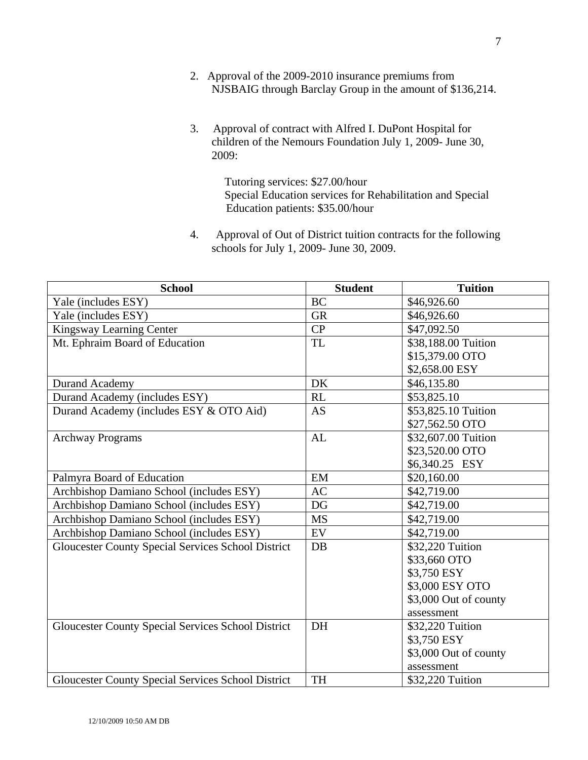- 2. Approval of the 2009-2010 insurance premiums from NJSBAIG through Barclay Group in the amount of \$136,214.
- 3. Approval of contract with Alfred I. DuPont Hospital for children of the Nemours Foundation July 1, 2009- June 30, 2009:

 Tutoring services: \$27.00/hour Special Education services for Rehabilitation and Special Education patients: \$35.00/hour

4. Approval of Out of District tuition contracts for the following schools for July 1, 2009- June 30, 2009.

| <b>School</b>                                             | <b>Student</b> | <b>Tuition</b>        |
|-----------------------------------------------------------|----------------|-----------------------|
| Yale (includes ESY)                                       | <b>BC</b>      | \$46,926.60           |
| Yale (includes ESY)                                       | <b>GR</b>      | \$46,926.60           |
| Kingsway Learning Center                                  | CP             | \$47,092.50           |
| Mt. Ephraim Board of Education                            | <b>TL</b>      | \$38,188.00 Tuition   |
|                                                           |                | \$15,379.00 OTO       |
|                                                           |                | \$2,658.00 ESY        |
| <b>Durand Academy</b>                                     | DK             | \$46,135.80           |
| Durand Academy (includes ESY)                             | RL             | \$53,825.10           |
| Durand Academy (includes ESY & OTO Aid)                   | <b>AS</b>      | \$53,825.10 Tuition   |
|                                                           |                | \$27,562.50 OTO       |
| <b>Archway Programs</b>                                   | AL             | \$32,607.00 Tuition   |
|                                                           |                | \$23,520.00 OTO       |
|                                                           |                | \$6,340.25 ESY        |
| Palmyra Board of Education                                | EM             | \$20,160.00           |
| Archbishop Damiano School (includes ESY)                  | <b>AC</b>      | \$42,719.00           |
| Archbishop Damiano School (includes ESY)                  | DG             | \$42,719.00           |
| Archbishop Damiano School (includes ESY)                  | <b>MS</b>      | \$42,719.00           |
| Archbishop Damiano School (includes ESY)                  | EV             | \$42,719.00           |
| <b>Gloucester County Special Services School District</b> | DB             | \$32,220 Tuition      |
|                                                           |                | \$33,660 OTO          |
|                                                           |                | \$3,750 ESY           |
|                                                           |                | \$3,000 ESY OTO       |
|                                                           |                | \$3,000 Out of county |
|                                                           |                | assessment            |
| <b>Gloucester County Special Services School District</b> | DH             | \$32,220 Tuition      |
|                                                           |                | \$3,750 ESY           |
|                                                           |                | \$3,000 Out of county |
|                                                           |                | assessment            |
| <b>Gloucester County Special Services School District</b> | <b>TH</b>      | \$32,220 Tuition      |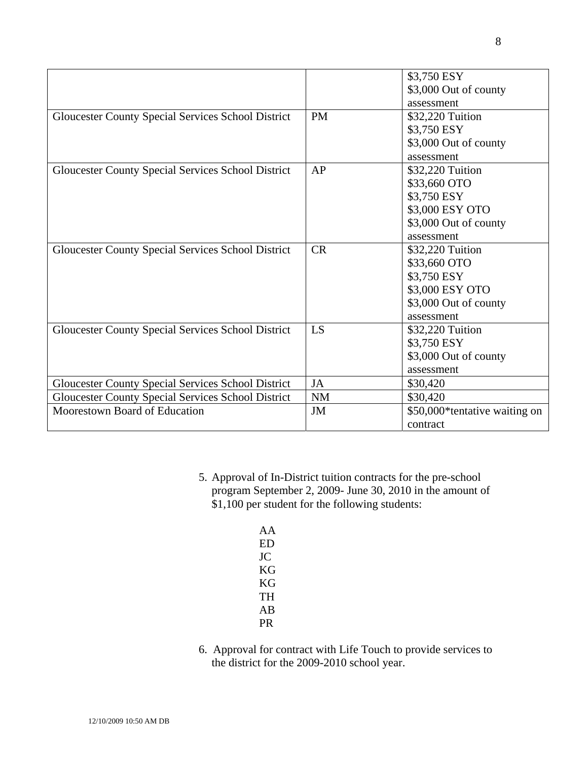|                                                           |           | \$3,750 ESY                   |
|-----------------------------------------------------------|-----------|-------------------------------|
|                                                           |           | \$3,000 Out of county         |
|                                                           |           | assessment                    |
| <b>Gloucester County Special Services School District</b> | <b>PM</b> | \$32,220 Tuition              |
|                                                           |           | \$3,750 ESY                   |
|                                                           |           | \$3,000 Out of county         |
|                                                           |           | assessment                    |
| <b>Gloucester County Special Services School District</b> | AP        | \$32,220 Tuition              |
|                                                           |           | \$33,660 OTO                  |
|                                                           |           | \$3,750 ESY                   |
|                                                           |           | \$3,000 ESY OTO               |
|                                                           |           | \$3,000 Out of county         |
|                                                           |           | assessment                    |
| <b>Gloucester County Special Services School District</b> | <b>CR</b> | \$32,220 Tuition              |
|                                                           |           | \$33,660 OTO                  |
|                                                           |           | \$3,750 ESY                   |
|                                                           |           | \$3,000 ESY OTO               |
|                                                           |           | \$3,000 Out of county         |
|                                                           |           | assessment                    |
| Gloucester County Special Services School District        | LS        | \$32,220 Tuition              |
|                                                           |           | \$3,750 ESY                   |
|                                                           |           | \$3,000 Out of county         |
|                                                           |           | assessment                    |
| <b>Gloucester County Special Services School District</b> | <b>JA</b> | \$30,420                      |
| <b>Gloucester County Special Services School District</b> | NM        | \$30,420                      |
| Moorestown Board of Education                             | JM        | \$50,000*tentative waiting on |
|                                                           |           | contract                      |

- 5. Approval of In-District tuition contracts for the pre-school program September 2, 2009- June 30, 2010 in the amount of \$1,100 per student for the following students:
	- AA ED JC KG KG TH AB PR
- 6. Approval for contract with Life Touch to provide services to the district for the 2009-2010 school year.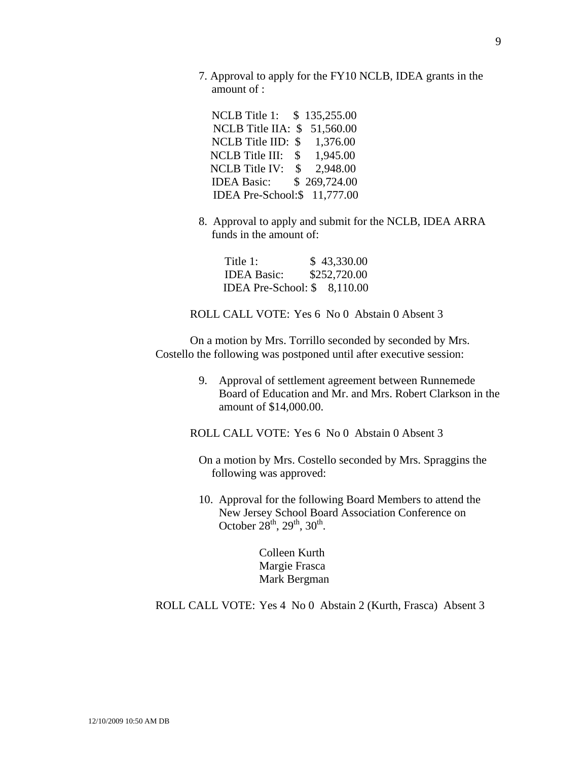7. Approval to apply for the FY10 NCLB, IDEA grants in the amount of :

 NCLB Title 1: \$ 135,255.00 NCLB Title IIA: \$ 51,560.00 NCLB Title IID: \$ 1,376.00 NCLB Title III: \$ 1,945.00 NCLB Title IV: \$ 2,948.00 IDEA Basic: \$ 269,724.00 IDEA Pre-School:\$ 11,777.00

8. Approval to apply and submit for the NCLB, IDEA ARRA funds in the amount of:

Title 1: \$ 43,330.00 IDEA Basic: \$252,720.00 IDEA Pre-School: \$ 8,110.00

ROLL CALL VOTE: Yes 6 No 0 Abstain 0 Absent 3

On a motion by Mrs. Torrillo seconded by seconded by Mrs. Costello the following was postponed until after executive session:

> 9. Approval of settlement agreement between Runnemede Board of Education and Mr. and Mrs. Robert Clarkson in the amount of \$14,000.00.

ROLL CALL VOTE: Yes 6 No 0 Abstain 0 Absent 3

On a motion by Mrs. Costello seconded by Mrs. Spraggins the following was approved:

10. Approval for the following Board Members to attend the New Jersey School Board Association Conference on October  $28^{th}$ ,  $29^{th}$ ,  $30^{th}$ .

> Colleen Kurth Margie Frasca Mark Bergman

ROLL CALL VOTE: Yes 4 No 0 Abstain 2 (Kurth, Frasca) Absent 3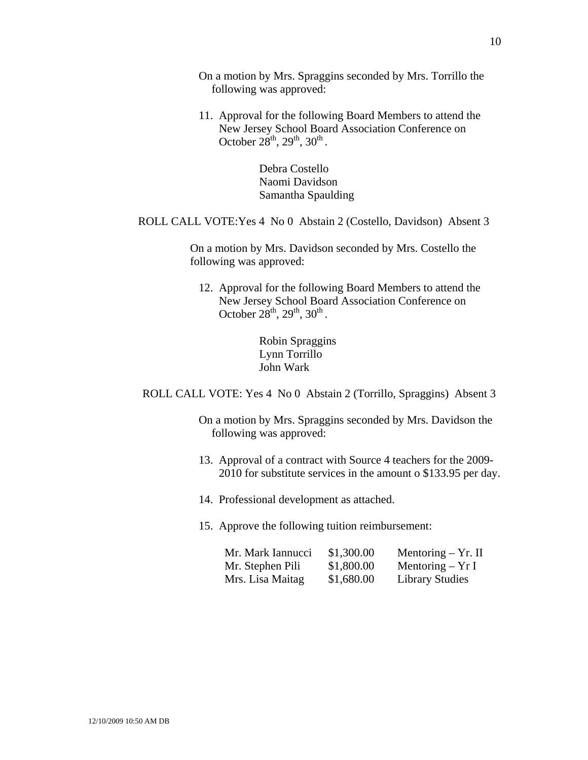On a motion by Mrs. Spraggins seconded by Mrs. Torrillo the following was approved:

11. Approval for the following Board Members to attend the New Jersey School Board Association Conference on October  $28^{th}$ ,  $29^{th}$ ,  $30^{th}$ .

> Debra Costello Naomi Davidson Samantha Spaulding

### ROLL CALL VOTE:Yes 4 No 0 Abstain 2 (Costello, Davidson) Absent 3

 On a motion by Mrs. Davidson seconded by Mrs. Costello the following was approved:

12. Approval for the following Board Members to attend the New Jersey School Board Association Conference on October  $28^{th}$ ,  $29^{th}$ ,  $30^{th}$ .

> Robin Spraggins Lynn Torrillo John Wark

ROLL CALL VOTE: Yes 4 No 0 Abstain 2 (Torrillo, Spraggins) Absent 3

On a motion by Mrs. Spraggins seconded by Mrs. Davidson the following was approved:

- 13. Approval of a contract with Source 4 teachers for the 2009- 2010 for substitute services in the amount o \$133.95 per day.
- 14. Professional development as attached.
- 15. Approve the following tuition reimbursement:

| Mr. Mark Iannucci | \$1,300.00 | Mentoring $-$ Yr. II   |
|-------------------|------------|------------------------|
| Mr. Stephen Pili  | \$1,800.00 | Mentoring $- Yr I$     |
| Mrs. Lisa Maitag  | \$1,680.00 | <b>Library Studies</b> |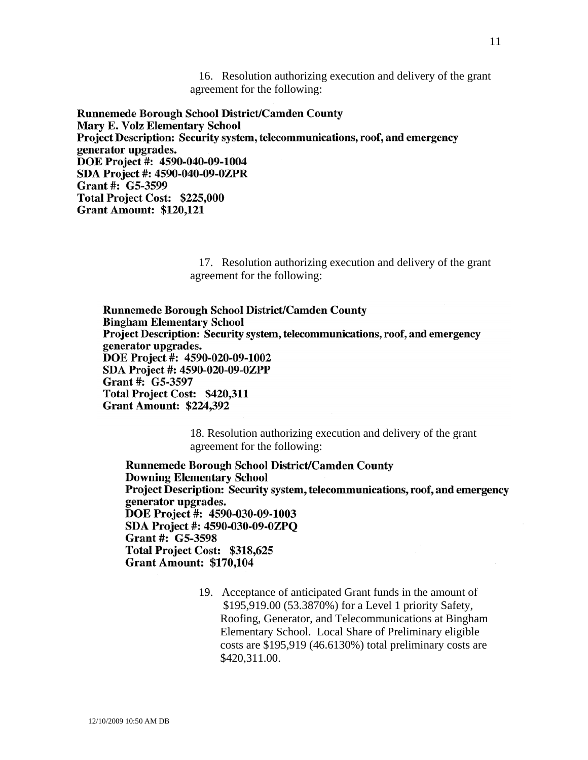16. Resolution authorizing execution and delivery of the grant agreement for the following:

**Runnemede Borough School District/Camden County Mary E. Volz Elementary School** Project Description: Security system, telecommunications, roof, and emergency generator upgrades. DOE Project #: 4590-040-09-1004 SDA Project #: 4590-040-09-0ZPR Grant #: G5-3599 Total Project Cost: \$225,000 **Grant Amount: \$120,121** 

> 17. Resolution authorizing execution and delivery of the grant agreement for the following:

Runnemede Borough School District/Camden County **Bingham Elementary School** Project Description: Security system, telecommunications, roof, and emergency generator upgrades. DOE Project #: 4590-020-09-1002 SDA Project #: 4590-020-09-0ZPP Grant #: G5-3597 Total Project Cost: \$420,311 **Grant Amount: \$224,392** 

> 18. Resolution authorizing execution and delivery of the grant agreement for the following:

**Runnemede Borough School District/Camden County Downing Elementary School** Project Description: Security system, telecommunications, roof, and emergency generator upgrades. DOE Project #: 4590-030-09-1003 SDA Project #: 4590-030-09-0ZPQ Grant #: G5-3598 Total Project Cost: \$318,625 **Grant Amount: \$170,104** 

> 19. Acceptance of anticipated Grant funds in the amount of \$195,919.00 (53.3870%) for a Level 1 priority Safety, Roofing, Generator, and Telecommunications at Bingham Elementary School. Local Share of Preliminary eligible costs are \$195,919 (46.6130%) total preliminary costs are \$420,311.00.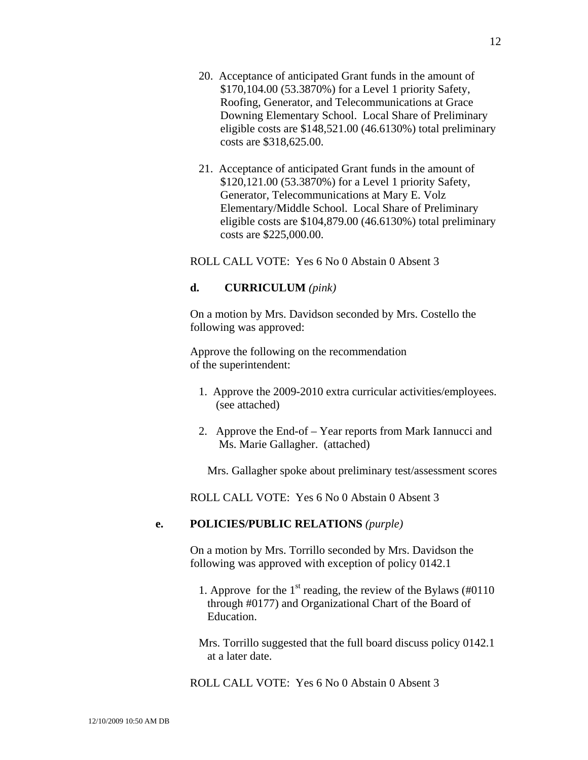12

- 20. Acceptance of anticipated Grant funds in the amount of \$170,104.00 (53.3870%) for a Level 1 priority Safety, Roofing, Generator, and Telecommunications at Grace Downing Elementary School. Local Share of Preliminary eligible costs are \$148,521.00 (46.6130%) total preliminary costs are \$318,625.00.
- 21. Acceptance of anticipated Grant funds in the amount of \$120,121.00 (53.3870%) for a Level 1 priority Safety, Generator, Telecommunications at Mary E. Volz Elementary/Middle School. Local Share of Preliminary eligible costs are \$104,879.00 (46.6130%) total preliminary costs are \$225,000.00.

ROLL CALL VOTE: Yes 6 No 0 Abstain 0 Absent 3

# **d. CURRICULUM** *(pink)*

On a motion by Mrs. Davidson seconded by Mrs. Costello the following was approved:

Approve the following on the recommendation of the superintendent:

- 1. Approve the 2009-2010 extra curricular activities/employees. (see attached)
- 2. Approve the End-of Year reports from Mark Iannucci and Ms. Marie Gallagher. (attached)

Mrs. Gallagher spoke about preliminary test/assessment scores

ROLL CALL VOTE: Yes 6 No 0 Abstain 0 Absent 3

# **e. POLICIES/PUBLIC RELATIONS** *(purple)*

On a motion by Mrs. Torrillo seconded by Mrs. Davidson the following was approved with exception of policy 0142.1

- 1. Approve for the  $1<sup>st</sup>$  reading, the review of the Bylaws (#0110) through #0177) and Organizational Chart of the Board of Education.
- Mrs. Torrillo suggested that the full board discuss policy 0142.1 at a later date.

ROLL CALL VOTE: Yes 6 No 0 Abstain 0 Absent 3